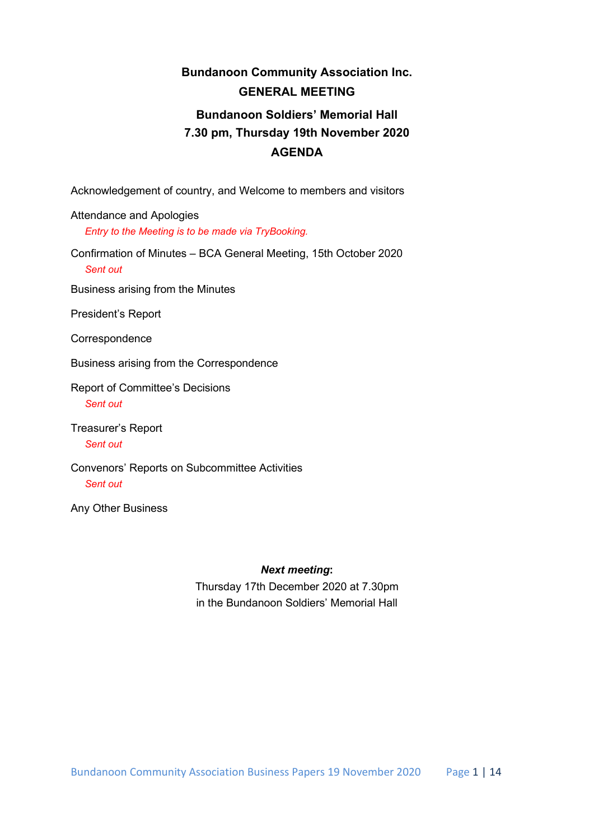# **Bundanoon Community Association Inc. GENERAL MEETING Bundanoon Soldiers' Memorial Hall 7.30 pm, Thursday 19th November 2020 AGENDA**

Acknowledgement of country, and Welcome to members and visitors

Attendance and Apologies *Entry to the Meeting is to be made via TryBooking.*

Confirmation of Minutes – BCA General Meeting, 15th October 2020 *Sent out*

Business arising from the Minutes

President's Report

**Correspondence** 

Business arising from the Correspondence

Report of Committee's Decisions *Sent out*

Treasurer's Report *Sent out*

Convenors' Reports on Subcommittee Activities *Sent out*

Any Other Business

#### *Next meeting***:**

Thursday 17th December 2020 at 7.30pm in the Bundanoon Soldiers' Memorial Hall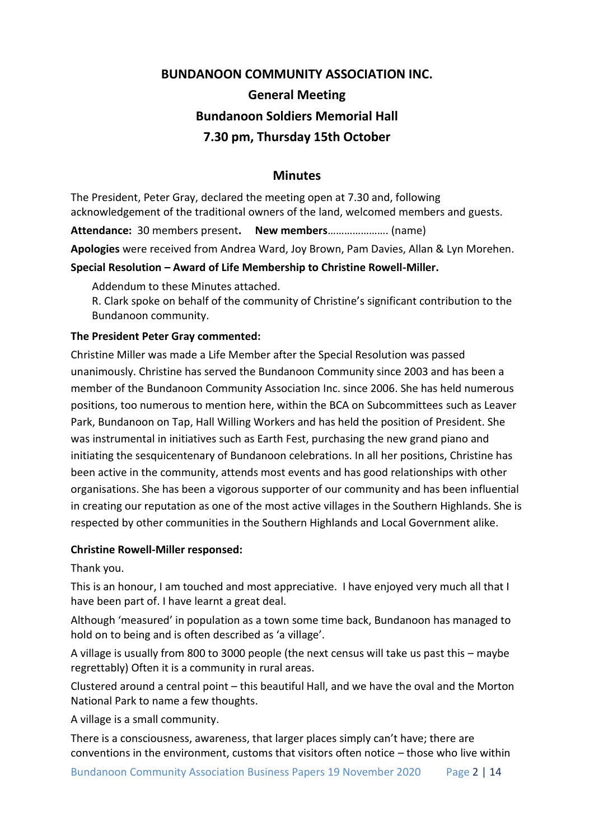# **BUNDANOON COMMUNITY ASSOCIATION INC. General Meeting Bundanoon Soldiers Memorial Hall 7.30 pm, Thursday 15th October**

## **Minutes**

The President, Peter Gray, declared the meeting open at 7.30 and, following acknowledgement of the traditional owners of the land, welcomed members and guests.

**Attendance:** 30 members present**. New members**…………………. (name)

**Apologies** were received from Andrea Ward, Joy Brown, Pam Davies, Allan & Lyn Morehen.

## **Special Resolution – Award of Life Membership to Christine Rowell-Miller.**

Addendum to these Minutes attached.

R. Clark spoke on behalf of the community of Christine's significant contribution to the Bundanoon community.

## **The President Peter Gray commented:**

Christine Miller was made a Life Member after the Special Resolution was passed unanimously. Christine has served the Bundanoon Community since 2003 and has been a member of the Bundanoon Community Association Inc. since 2006. She has held numerous positions, too numerous to mention here, within the BCA on Subcommittees such as Leaver Park, Bundanoon on Tap, Hall Willing Workers and has held the position of President. She was instrumental in initiatives such as Earth Fest, purchasing the new grand piano and initiating the sesquicentenary of Bundanoon celebrations. In all her positions, Christine has been active in the community, attends most events and has good relationships with other organisations. She has been a vigorous supporter of our community and has been influential in creating our reputation as one of the most active villages in the Southern Highlands. She is respected by other communities in the Southern Highlands and Local Government alike.

## **Christine Rowell-Miller responsed:**

Thank you.

This is an honour, I am touched and most appreciative. I have enjoyed very much all that I have been part of. I have learnt a great deal.

Although 'measured' in population as a town some time back, Bundanoon has managed to hold on to being and is often described as 'a village'.

A village is usually from 800 to 3000 people (the next census will take us past this – maybe regrettably) Often it is a community in rural areas.

Clustered around a central point – this beautiful Hall, and we have the oval and the Morton National Park to name a few thoughts.

A village is a small community.

There is a consciousness, awareness, that larger places simply can't have; there are conventions in the environment, customs that visitors often notice – those who live within

Bundanoon Community Association Business Papers 19 November 2020 Page 2 | 14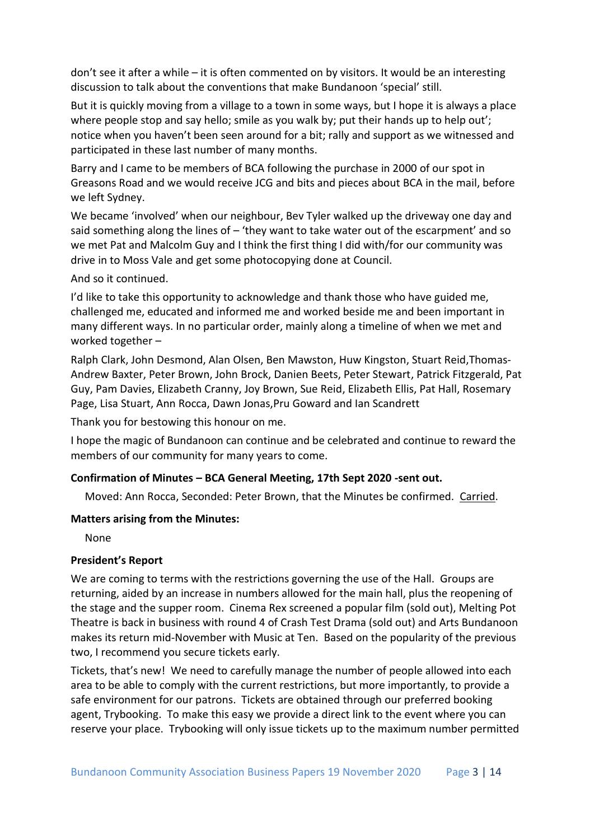don't see it after a while – it is often commented on by visitors. It would be an interesting discussion to talk about the conventions that make Bundanoon 'special' still.

But it is quickly moving from a village to a town in some ways, but I hope it is always a place where people stop and say hello; smile as you walk by; put their hands up to help out'; notice when you haven't been seen around for a bit; rally and support as we witnessed and participated in these last number of many months.

Barry and I came to be members of BCA following the purchase in 2000 of our spot in Greasons Road and we would receive JCG and bits and pieces about BCA in the mail, before we left Sydney.

We became 'involved' when our neighbour, Bev Tyler walked up the driveway one day and said something along the lines of - 'they want to take water out of the escarpment' and so we met Pat and Malcolm Guy and I think the first thing I did with/for our community was drive in to Moss Vale and get some photocopying done at Council.

## And so it continued.

I'd like to take this opportunity to acknowledge and thank those who have guided me, challenged me, educated and informed me and worked beside me and been important in many different ways. In no particular order, mainly along a timeline of when we met and worked together –

Ralph Clark, John Desmond, Alan Olsen, Ben Mawston, Huw Kingston, Stuart Reid,Thomas-Andrew Baxter, Peter Brown, John Brock, Danien Beets, Peter Stewart, Patrick Fitzgerald, Pat Guy, Pam Davies, Elizabeth Cranny, Joy Brown, Sue Reid, Elizabeth Ellis, Pat Hall, Rosemary Page, Lisa Stuart, Ann Rocca, Dawn Jonas,Pru Goward and Ian Scandrett

Thank you for bestowing this honour on me.

I hope the magic of Bundanoon can continue and be celebrated and continue to reward the members of our community for many years to come.

## **Confirmation of Minutes – BCA General Meeting, 17th Sept 2020 -sent out.**

Moved: Ann Rocca, Seconded: Peter Brown, that the Minutes be confirmed. Carried.

#### **Matters arising from the Minutes:**

None

## **President's Report**

We are coming to terms with the restrictions governing the use of the Hall. Groups are returning, aided by an increase in numbers allowed for the main hall, plus the reopening of the stage and the supper room. Cinema Rex screened a popular film (sold out), Melting Pot Theatre is back in business with round 4 of Crash Test Drama (sold out) and Arts Bundanoon makes its return mid-November with Music at Ten. Based on the popularity of the previous two, I recommend you secure tickets early.

Tickets, that's new! We need to carefully manage the number of people allowed into each area to be able to comply with the current restrictions, but more importantly, to provide a safe environment for our patrons. Tickets are obtained through our preferred booking agent, Trybooking. To make this easy we provide a direct link to the event where you can reserve your place. Trybooking will only issue tickets up to the maximum number permitted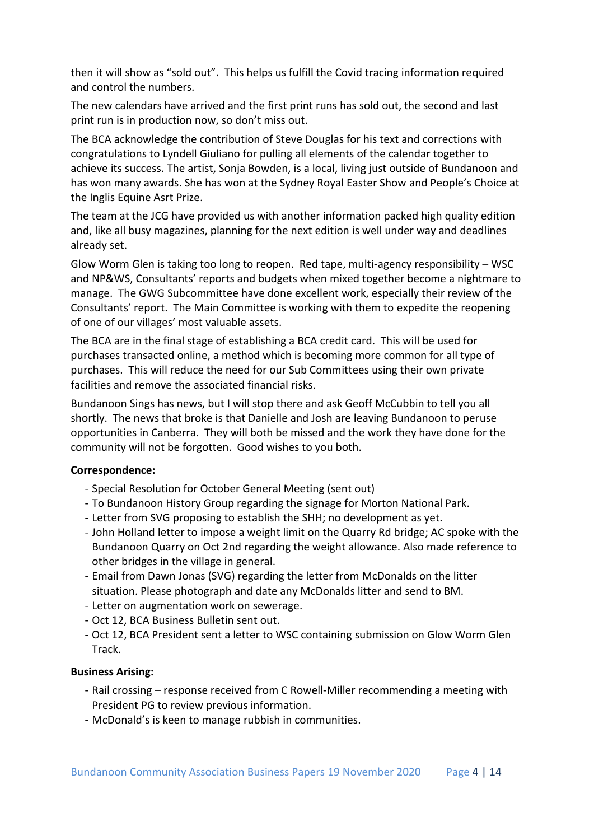then it will show as "sold out". This helps us fulfill the Covid tracing information required and control the numbers.

The new calendars have arrived and the first print runs has sold out, the second and last print run is in production now, so don't miss out.

The BCA acknowledge the contribution of Steve Douglas for his text and corrections with congratulations to Lyndell Giuliano for pulling all elements of the calendar together to achieve its success. The artist, Sonja Bowden, is a local, living just outside of Bundanoon and has won many awards. She has won at the Sydney Royal Easter Show and People's Choice at the Inglis Equine Asrt Prize.

The team at the JCG have provided us with another information packed high quality edition and, like all busy magazines, planning for the next edition is well under way and deadlines already set.

Glow Worm Glen is taking too long to reopen. Red tape, multi-agency responsibility – WSC and NP&WS, Consultants' reports and budgets when mixed together become a nightmare to manage. The GWG Subcommittee have done excellent work, especially their review of the Consultants' report. The Main Committee is working with them to expedite the reopening of one of our villages' most valuable assets.

The BCA are in the final stage of establishing a BCA credit card. This will be used for purchases transacted online, a method which is becoming more common for all type of purchases. This will reduce the need for our Sub Committees using their own private facilities and remove the associated financial risks.

Bundanoon Sings has news, but I will stop there and ask Geoff McCubbin to tell you all shortly. The news that broke is that Danielle and Josh are leaving Bundanoon to peruse opportunities in Canberra. They will both be missed and the work they have done for the community will not be forgotten. Good wishes to you both.

## **Correspondence:**

- Special Resolution for October General Meeting (sent out)
- To Bundanoon History Group regarding the signage for Morton National Park.
- Letter from SVG proposing to establish the SHH; no development as yet.
- John Holland letter to impose a weight limit on the Quarry Rd bridge; AC spoke with the Bundanoon Quarry on Oct 2nd regarding the weight allowance. Also made reference to other bridges in the village in general.
- Email from Dawn Jonas (SVG) regarding the letter from McDonalds on the litter situation. Please photograph and date any McDonalds litter and send to BM.
- Letter on augmentation work on sewerage.
- Oct 12, BCA Business Bulletin sent out.
- Oct 12, BCA President sent a letter to WSC containing submission on Glow Worm Glen Track.

## **Business Arising:**

- Rail crossing response received from C Rowell-Miller recommending a meeting with President PG to review previous information.
- McDonald's is keen to manage rubbish in communities.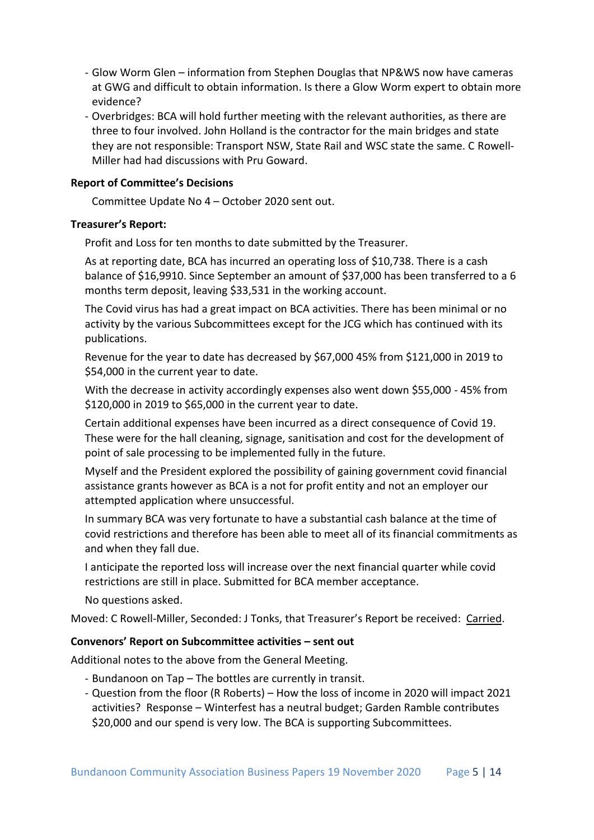- Glow Worm Glen information from Stephen Douglas that NP&WS now have cameras at GWG and difficult to obtain information. Is there a Glow Worm expert to obtain more evidence?
- Overbridges: BCA will hold further meeting with the relevant authorities, as there are three to four involved. John Holland is the contractor for the main bridges and state they are not responsible: Transport NSW, State Rail and WSC state the same. C Rowell-Miller had had discussions with Pru Goward.

## **Report of Committee's Decisions**

Committee Update No 4 – October 2020 sent out.

## **Treasurer's Report:**

Profit and Loss for ten months to date submitted by the Treasurer.

As at reporting date, BCA has incurred an operating loss of \$10,738. There is a cash balance of \$16,9910. Since September an amount of \$37,000 has been transferred to a 6 months term deposit, leaving \$33,531 in the working account.

The Covid virus has had a great impact on BCA activities. There has been minimal or no activity by the various Subcommittees except for the JCG which has continued with its publications.

Revenue for the year to date has decreased by \$67,000 45% from \$121,000 in 2019 to \$54,000 in the current year to date.

With the decrease in activity accordingly expenses also went down \$55,000 - 45% from \$120,000 in 2019 to \$65,000 in the current year to date.

Certain additional expenses have been incurred as a direct consequence of Covid 19. These were for the hall cleaning, signage, sanitisation and cost for the development of point of sale processing to be implemented fully in the future.

Myself and the President explored the possibility of gaining government covid financial assistance grants however as BCA is a not for profit entity and not an employer our attempted application where unsuccessful.

In summary BCA was very fortunate to have a substantial cash balance at the time of covid restrictions and therefore has been able to meet all of its financial commitments as and when they fall due.

I anticipate the reported loss will increase over the next financial quarter while covid restrictions are still in place. Submitted for BCA member acceptance.

No questions asked.

Moved: C Rowell-Miller, Seconded: J Tonks, that Treasurer's Report be received: Carried.

## **Convenors' Report on Subcommittee activities – sent out**

Additional notes to the above from the General Meeting.

- Bundanoon on Tap The bottles are currently in transit.
- Question from the floor (R Roberts) How the loss of income in 2020 will impact 2021 activities? Response – Winterfest has a neutral budget; Garden Ramble contributes \$20,000 and our spend is very low. The BCA is supporting Subcommittees.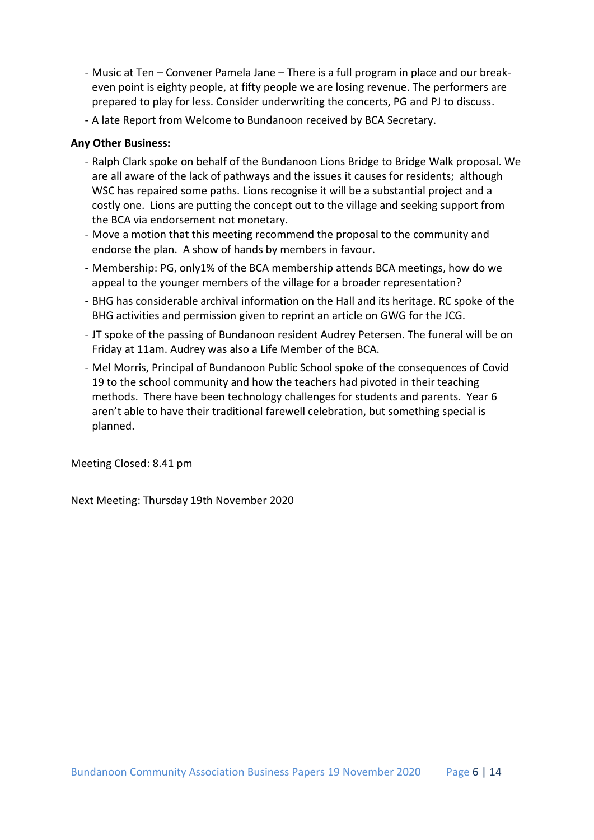- Music at Ten Convener Pamela Jane There is a full program in place and our breakeven point is eighty people, at fifty people we are losing revenue. The performers are prepared to play for less. Consider underwriting the concerts, PG and PJ to discuss.
- A late Report from Welcome to Bundanoon received by BCA Secretary.

## **Any Other Business:**

- Ralph Clark spoke on behalf of the Bundanoon Lions Bridge to Bridge Walk proposal. We are all aware of the lack of pathways and the issues it causes for residents; although WSC has repaired some paths. Lions recognise it will be a substantial project and a costly one. Lions are putting the concept out to the village and seeking support from the BCA via endorsement not monetary.
- Move a motion that this meeting recommend the proposal to the community and endorse the plan. A show of hands by members in favour.
- Membership: PG, only1% of the BCA membership attends BCA meetings, how do we appeal to the younger members of the village for a broader representation?
- BHG has considerable archival information on the Hall and its heritage. RC spoke of the BHG activities and permission given to reprint an article on GWG for the JCG.
- JT spoke of the passing of Bundanoon resident Audrey Petersen. The funeral will be on Friday at 11am. Audrey was also a Life Member of the BCA.
- Mel Morris, Principal of Bundanoon Public School spoke of the consequences of Covid 19 to the school community and how the teachers had pivoted in their teaching methods. There have been technology challenges for students and parents. Year 6 aren't able to have their traditional farewell celebration, but something special is planned.

Meeting Closed: 8.41 pm

Next Meeting: Thursday 19th November 2020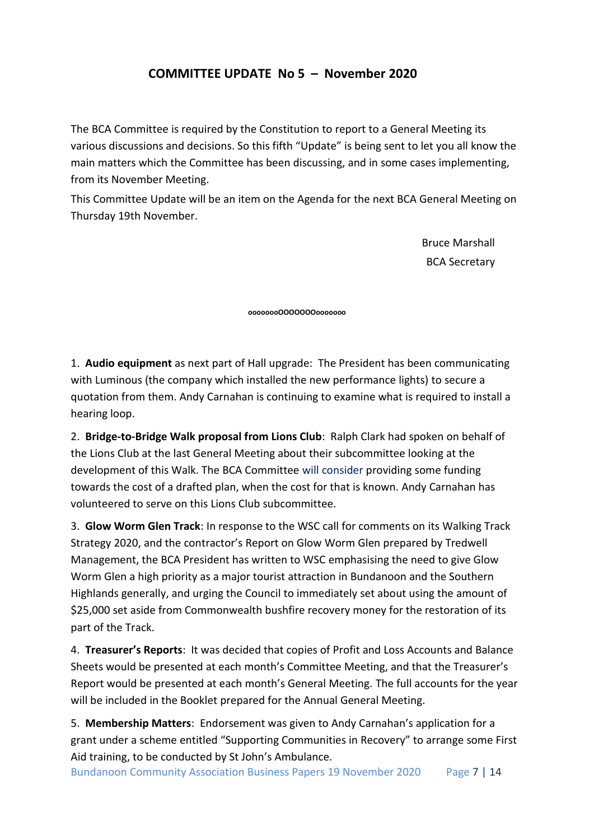# **COMMITTEE UPDATE No 5 – November 2020**

The BCA Committee is required by the Constitution to report to a General Meeting its various discussions and decisions. So this fifth "Update" is being sent to let you all know the main matters which the Committee has been discussing, and in some cases implementing, from its November Meeting.

This Committee Update will be an item on the Agenda for the next BCA General Meeting on Thursday 19th November.

> Bruce Marshall BCA Secretary

**oooooooOOOOOOOooooooo**

1. **Audio equipment** as next part of Hall upgrade: The President has been communicating with Luminous (the company which installed the new performance lights) to secure a quotation from them. Andy Carnahan is continuing to examine what is required to install a hearing loop.

2. **Bridge-to-Bridge Walk proposal from Lions Club**: Ralph Clark had spoken on behalf of the Lions Club at the last General Meeting about their subcommittee looking at the development of this Walk. The BCA Committee will consider providing some funding towards the cost of a drafted plan, when the cost for that is known. Andy Carnahan has volunteered to serve on this Lions Club subcommittee.

3. **Glow Worm Glen Track**: In response to the WSC call for comments on its Walking Track Strategy 2020, and the contractor's Report on Glow Worm Glen prepared by Tredwell Management, the BCA President has written to WSC emphasising the need to give Glow Worm Glen a high priority as a major tourist attraction in Bundanoon and the Southern Highlands generally, and urging the Council to immediately set about using the amount of \$25,000 set aside from Commonwealth bushfire recovery money for the restoration of its part of the Track.

4. **Treasurer's Reports**: It was decided that copies of Profit and Loss Accounts and Balance Sheets would be presented at each month's Committee Meeting, and that the Treasurer's Report would be presented at each month's General Meeting. The full accounts for the year will be included in the Booklet prepared for the Annual General Meeting.

5. **Membership Matters**: Endorsement was given to Andy Carnahan's application for a grant under a scheme entitled "Supporting Communities in Recovery" to arrange some First Aid training, to be conducted by St John's Ambulance.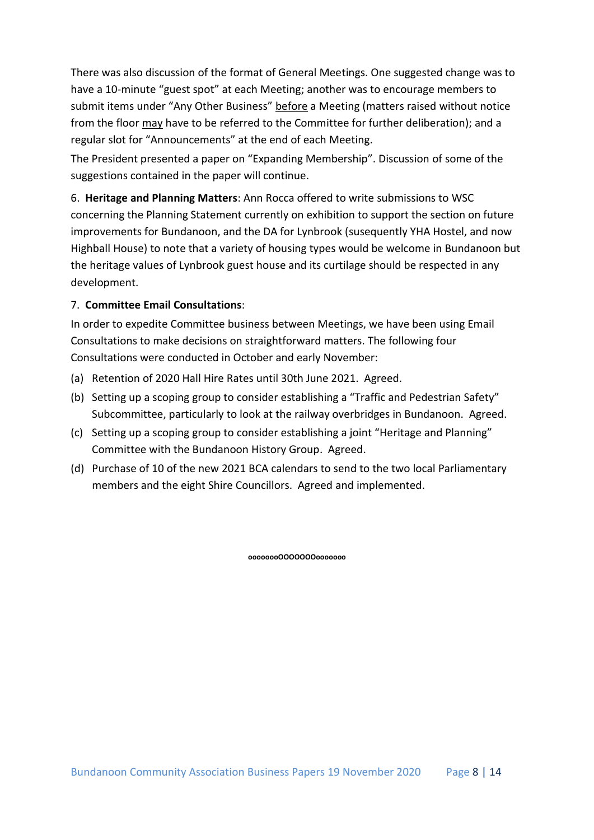There was also discussion of the format of General Meetings. One suggested change was to have a 10-minute "guest spot" at each Meeting; another was to encourage members to submit items under "Any Other Business" before a Meeting (matters raised without notice from the floor may have to be referred to the Committee for further deliberation); and a regular slot for "Announcements" at the end of each Meeting.

The President presented a paper on "Expanding Membership". Discussion of some of the suggestions contained in the paper will continue.

6. **Heritage and Planning Matters**: Ann Rocca offered to write submissions to WSC concerning the Planning Statement currently on exhibition to support the section on future improvements for Bundanoon, and the DA for Lynbrook (susequently YHA Hostel, and now Highball House) to note that a variety of housing types would be welcome in Bundanoon but the heritage values of Lynbrook guest house and its curtilage should be respected in any development.

## 7. **Committee Email Consultations**:

In order to expedite Committee business between Meetings, we have been using Email Consultations to make decisions on straightforward matters. The following four Consultations were conducted in October and early November:

- (a) Retention of 2020 Hall Hire Rates until 30th June 2021. Agreed.
- (b) Setting up a scoping group to consider establishing a "Traffic and Pedestrian Safety" Subcommittee, particularly to look at the railway overbridges in Bundanoon. Agreed.
- (c) Setting up a scoping group to consider establishing a joint "Heritage and Planning" Committee with the Bundanoon History Group. Agreed.
- (d) Purchase of 10 of the new 2021 BCA calendars to send to the two local Parliamentary members and the eight Shire Councillors. Agreed and implemented.

**oooooooOOOOOOOooooooo**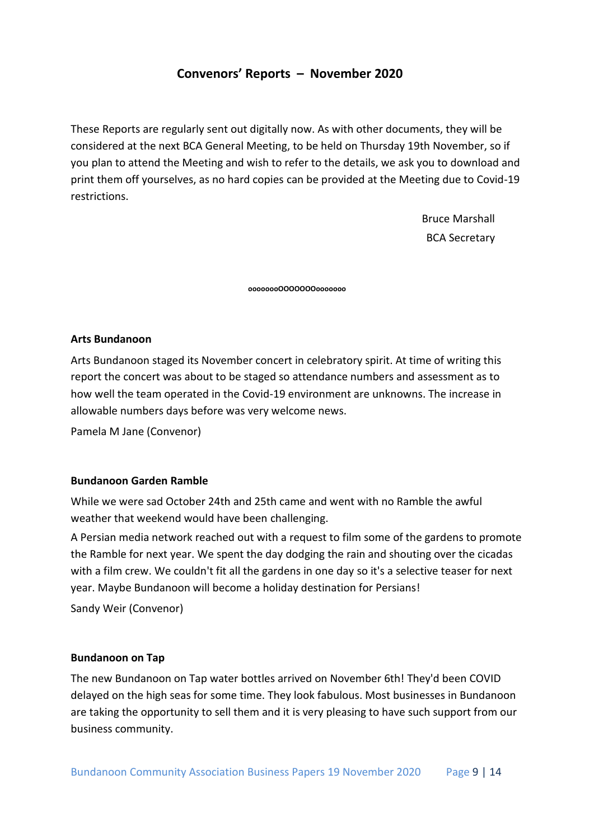# **Convenors' Reports – November 2020**

These Reports are regularly sent out digitally now. As with other documents, they will be considered at the next BCA General Meeting, to be held on Thursday 19th November, so if you plan to attend the Meeting and wish to refer to the details, we ask you to download and print them off yourselves, as no hard copies can be provided at the Meeting due to Covid-19 restrictions.

> Bruce Marshall BCA Secretary

**oooooooOOOOOOOooooooo**

## **Arts Bundanoon**

Arts Bundanoon staged its November concert in celebratory spirit. At time of writing this report the concert was about to be staged so attendance numbers and assessment as to how well the team operated in the Covid-19 environment are unknowns. The increase in allowable numbers days before was very welcome news.

Pamela M Jane (Convenor)

## **Bundanoon Garden Ramble**

While we were sad October 24th and 25th came and went with no Ramble the awful weather that weekend would have been challenging.

A Persian media network reached out with a request to film some of the gardens to promote the Ramble for next year. We spent the day dodging the rain and shouting over the cicadas with a film crew. We couldn't fit all the gardens in one day so it's a selective teaser for next year. Maybe Bundanoon will become a holiday destination for Persians!

Sandy Weir (Convenor)

#### **Bundanoon on Tap**

The new Bundanoon on Tap water bottles arrived on November 6th! They'd been COVID delayed on the high seas for some time. They look fabulous. Most businesses in Bundanoon are taking the opportunity to sell them and it is very pleasing to have such support from our business community.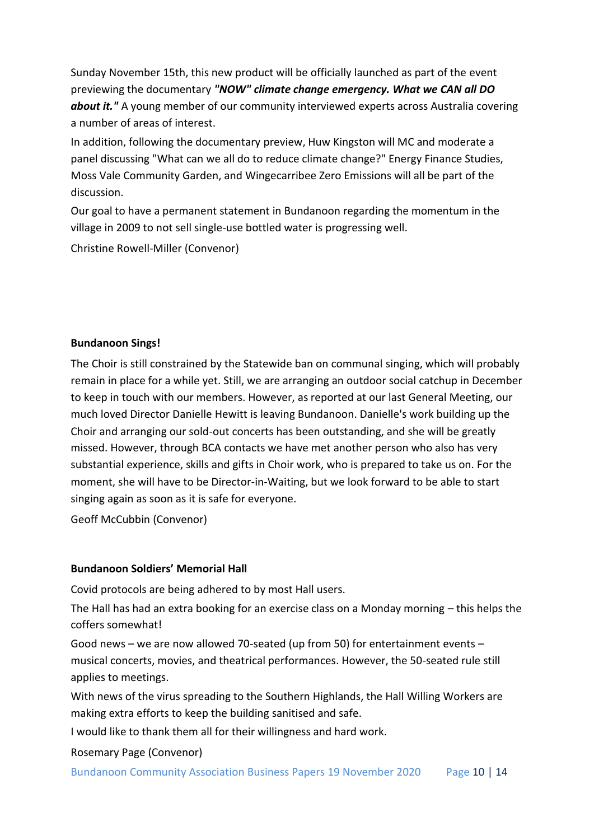Sunday November 15th, this new product will be officially launched as part of the event previewing the documentary *"NOW" climate change emergency. What we CAN all DO about it."* A young member of our community interviewed experts across Australia covering a number of areas of interest.

In addition, following the documentary preview, Huw Kingston will MC and moderate a panel discussing "What can we all do to reduce climate change?" Energy Finance Studies, Moss Vale Community Garden, and Wingecarribee Zero Emissions will all be part of the discussion.

Our goal to have a permanent statement in Bundanoon regarding the momentum in the village in 2009 to not sell single-use bottled water is progressing well.

Christine Rowell-Miller (Convenor)

## **Bundanoon Sings!**

The Choir is still constrained by the Statewide ban on communal singing, which will probably remain in place for a while yet. Still, we are arranging an outdoor social catchup in December to keep in touch with our members. However, as reported at our last General Meeting, our much loved Director Danielle Hewitt is leaving Bundanoon. Danielle's work building up the Choir and arranging our sold-out concerts has been outstanding, and she will be greatly missed. However, through BCA contacts we have met another person who also has very substantial experience, skills and gifts in Choir work, who is prepared to take us on. For the moment, she will have to be Director-in-Waiting, but we look forward to be able to start singing again as soon as it is safe for everyone.

Geoff McCubbin (Convenor)

## **Bundanoon Soldiers' Memorial Hall**

Covid protocols are being adhered to by most Hall users.

The Hall has had an extra booking for an exercise class on a Monday morning – this helps the coffers somewhat!

Good news – we are now allowed 70-seated (up from 50) for entertainment events – musical concerts, movies, and theatrical performances. However, the 50-seated rule still applies to meetings.

With news of the virus spreading to the Southern Highlands, the Hall Willing Workers are making extra efforts to keep the building sanitised and safe.

I would like to thank them all for their willingness and hard work.

Rosemary Page (Convenor)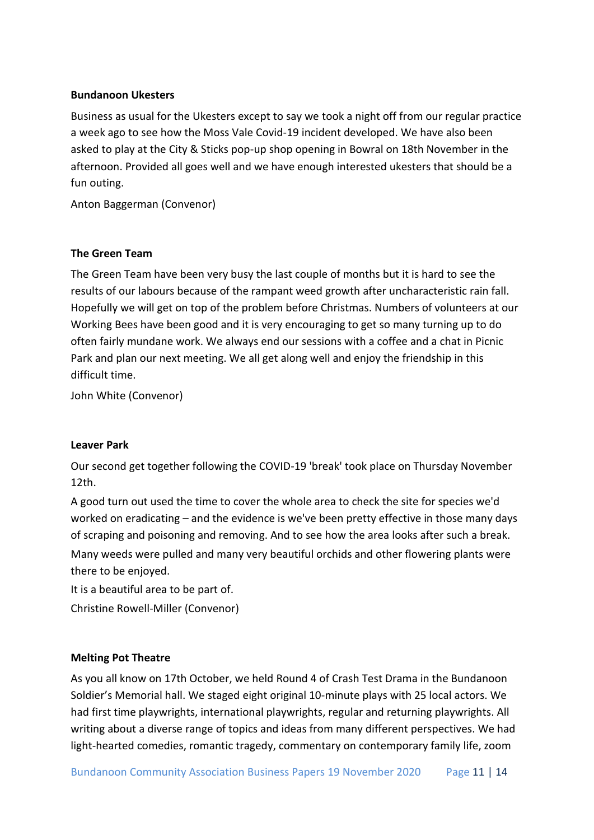## **Bundanoon Ukesters**

Business as usual for the Ukesters except to say we took a night off from our regular practice a week ago to see how the Moss Vale Covid-19 incident developed. We have also been asked to play at the City & Sticks pop-up shop opening in Bowral on 18th November in the afternoon. Provided all goes well and we have enough interested ukesters that should be a fun outing.

Anton Baggerman (Convenor)

## **The Green Team**

The Green Team have been very busy the last couple of months but it is hard to see the results of our labours because of the rampant weed growth after uncharacteristic rain fall. Hopefully we will get on top of the problem before Christmas. Numbers of volunteers at our Working Bees have been good and it is very encouraging to get so many turning up to do often fairly mundane work. We always end our sessions with a coffee and a chat in Picnic Park and plan our next meeting. We all get along well and enjoy the friendship in this difficult time.

John White (Convenor)

## **Leaver Park**

Our second get together following the COVID-19 'break' took place on Thursday November 12th.

A good turn out used the time to cover the whole area to check the site for species we'd worked on eradicating – and the evidence is we've been pretty effective in those many days of scraping and poisoning and removing. And to see how the area looks after such a break. Many weeds were pulled and many very beautiful orchids and other flowering plants were there to be enjoyed.

It is a beautiful area to be part of.

Christine Rowell-Miller (Convenor)

## **Melting Pot Theatre**

As you all know on 17th October, we held Round 4 of Crash Test Drama in the Bundanoon Soldier's Memorial hall. We staged eight original 10-minute plays with 25 local actors. We had first time playwrights, international playwrights, regular and returning playwrights. All writing about a diverse range of topics and ideas from many different perspectives. We had light-hearted comedies, romantic tragedy, commentary on contemporary family life, zoom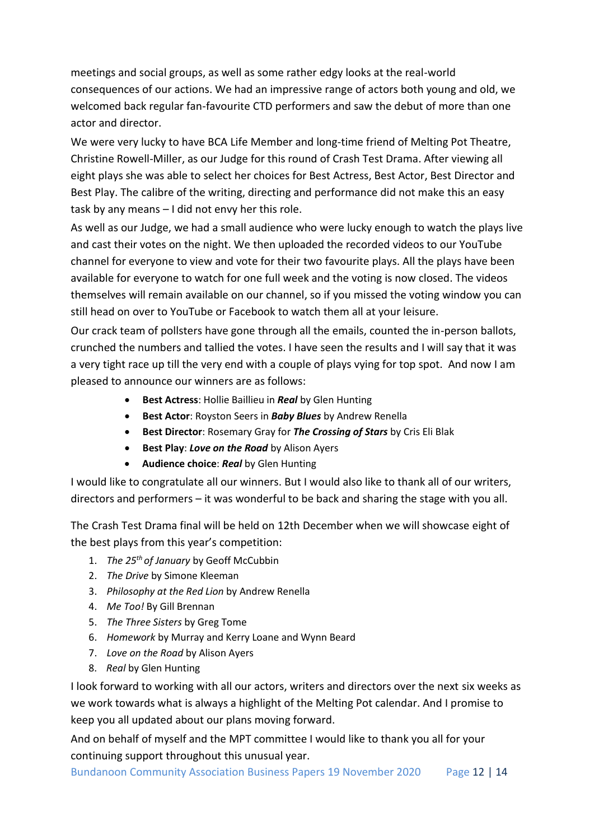meetings and social groups, as well as some rather edgy looks at the real-world consequences of our actions. We had an impressive range of actors both young and old, we welcomed back regular fan-favourite CTD performers and saw the debut of more than one actor and director.

We were very lucky to have BCA Life Member and long-time friend of Melting Pot Theatre, Christine Rowell-Miller, as our Judge for this round of Crash Test Drama. After viewing all eight plays she was able to select her choices for Best Actress, Best Actor, Best Director and Best Play. The calibre of the writing, directing and performance did not make this an easy task by any means – I did not envy her this role.

As well as our Judge, we had a small audience who were lucky enough to watch the plays live and cast their votes on the night. We then uploaded the recorded videos to our YouTube channel for everyone to view and vote for their two favourite plays. All the plays have been available for everyone to watch for one full week and the voting is now closed. The videos themselves will remain available on our channel, so if you missed the voting window you can still head on over to YouTube or Facebook to watch them all at your leisure.

Our crack team of pollsters have gone through all the emails, counted the in-person ballots, crunched the numbers and tallied the votes. I have seen the results and I will say that it was a very tight race up till the very end with a couple of plays vying for top spot. And now I am pleased to announce our winners are as follows:

- **Best Actress**: Hollie Baillieu in *Real* by Glen Hunting
- **Best Actor**: Royston Seers in *Baby Blues* by Andrew Renella
- **Best Director**: Rosemary Gray for *The Crossing of Stars* by Cris Eli Blak
- **Best Play**: *Love on the Road* by Alison Ayers
- **Audience choice**: *Real* by Glen Hunting

I would like to congratulate all our winners. But I would also like to thank all of our writers, directors and performers – it was wonderful to be back and sharing the stage with you all.

The Crash Test Drama final will be held on 12th December when we will showcase eight of the best plays from this year's competition:

- 1. *The 25th of January* by Geoff McCubbin
- 2. *The Drive* by Simone Kleeman
- 3. *Philosophy at the Red Lion* by Andrew Renella
- 4. *Me Too!* By Gill Brennan
- 5. *The Three Sisters* by Greg Tome
- 6. *Homework* by Murray and Kerry Loane and Wynn Beard
- 7. *Love on the Road* by Alison Ayers
- 8. *Real* by Glen Hunting

I look forward to working with all our actors, writers and directors over the next six weeks as we work towards what is always a highlight of the Melting Pot calendar. And I promise to keep you all updated about our plans moving forward.

And on behalf of myself and the MPT committee I would like to thank you all for your continuing support throughout this unusual year.

Bundanoon Community Association Business Papers 19 November 2020 Page 12 | 14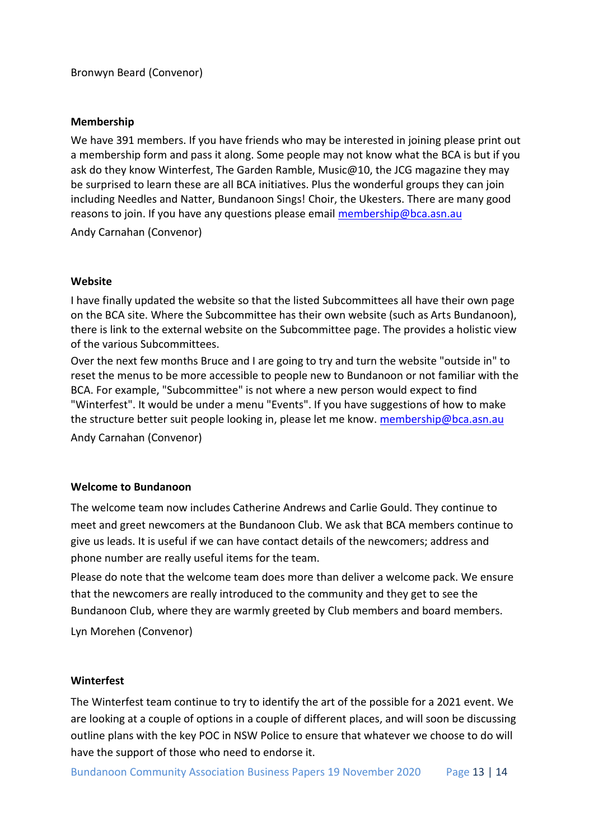## **Membership**

We have 391 members. If you have friends who may be interested in joining please print out a membership form and pass it along. Some people may not know what the BCA is but if you ask do they know Winterfest, The Garden Ramble, Music@10, the JCG magazine they may be surprised to learn these are all BCA initiatives. Plus the wonderful groups they can join including Needles and Natter, Bundanoon Sings! Choir, the Ukesters. There are many good reasons to join. If you have any questions please email [membership@bca.asn.au](mailto:membership@bca.asn.au)

Andy Carnahan (Convenor)

## **Website**

I have finally updated the website so that the listed Subcommittees all have their own page on the BCA site. Where the Subcommittee has their own website (such as Arts Bundanoon), there is link to the external website on the Subcommittee page. The provides a holistic view of the various Subcommittees.

Over the next few months Bruce and I are going to try and turn the website "outside in" to reset the menus to be more accessible to people new to Bundanoon or not familiar with the BCA. For example, "Subcommittee" is not where a new person would expect to find "Winterfest". It would be under a menu "Events". If you have suggestions of how to make the structure better suit people looking in, please let me know[. membership@bca.asn.au](mailto:membership@bca.asn.au) Andy Carnahan (Convenor)

#### **Welcome to Bundanoon**

The welcome team now includes Catherine Andrews and Carlie Gould. They continue to meet and greet newcomers at the Bundanoon Club. We ask that BCA members continue to give us leads. It is useful if we can have contact details of the newcomers; address and phone number are really useful items for the team.

Please do note that the welcome team does more than deliver a welcome pack. We ensure that the newcomers are really introduced to the community and they get to see the Bundanoon Club, where they are warmly greeted by Club members and board members.

Lyn Morehen (Convenor)

## **Winterfest**

The Winterfest team continue to try to identify the art of the possible for a 2021 event. We are looking at a couple of options in a couple of different places, and will soon be discussing outline plans with the key POC in NSW Police to ensure that whatever we choose to do will have the support of those who need to endorse it.

Bundanoon Community Association Business Papers 19 November 2020 Page 13 | 14